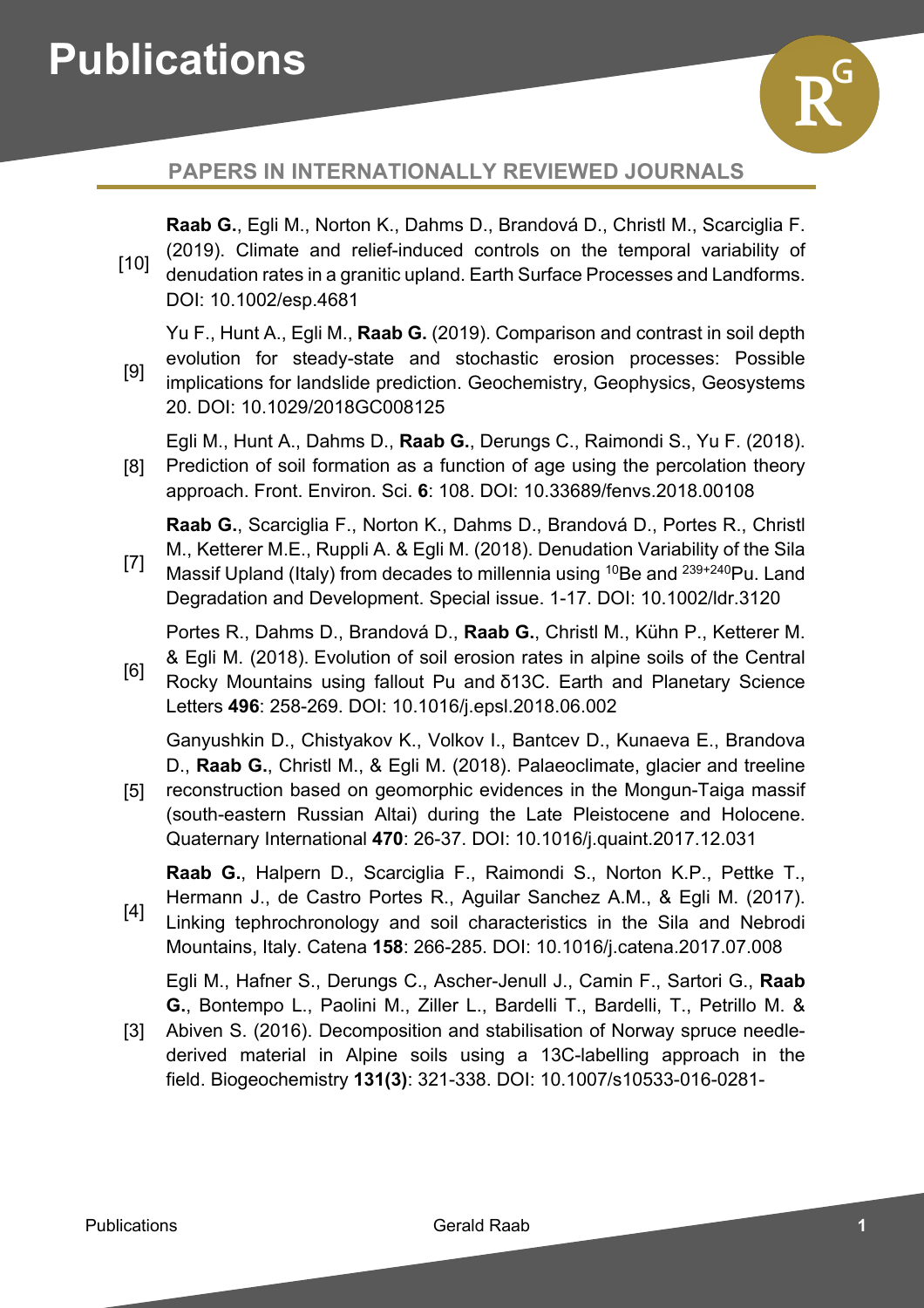### **Publications**



#### **PAPERS IN INTERNATIONALLY REVIEWED JOURNALS**

[10] **Raab G.**, Egli M., Norton K., Dahms D., Brandová D., Christl M., Scarciglia F. (2019). Climate and relief-induced controls on the temporal variability of denudation rates in a granitic upland. Earth Surface Processes and Landforms. DOI: 10.1002/esp.4681 [9] Yu F., Hunt A., Egli M., **Raab G.** (2019). Comparison and contrast in soil depth evolution for steady-state and stochastic erosion processes: Possible implications for landslide prediction. Geochemistry, Geophysics, Geosystems 20. DOI: 10.1029/2018GC008125 [8] Egli M., Hunt A., Dahms D., **Raab G.**, Derungs C., Raimondi S., Yu F. (2018). Prediction of soil formation as a function of age using the percolation theory approach. Front. Environ. Sci. **6**: 108. DOI: 10.33689/fenvs.2018.00108 [7] **Raab G.**, Scarciglia F., Norton K., Dahms D., Brandová D., Portes R., Christl M., Ketterer M.E., Ruppli A. & Egli M. (2018). Denudation Variability of the Sila Massif Upland (Italy) from decades to millennia using  $10Be$  and  $239+240Pu$ . Land Degradation and Development. Special issue. 1-17. DOI: 10.1002/ldr.3120 [6] Portes R., Dahms D., Brandová D., **Raab G.**, Christl M., Kühn P., Ketterer M. & Egli M. (2018). Evolution of soil erosion rates in alpine soils of the Central Rocky Mountains using fallout Pu and δ13C. Earth and Planetary Science Letters **496**: 258-269. DOI: 10.1016/j.epsl.2018.06.002 [5] Ganyushkin D., Chistyakov K., Volkov I., Bantcev D., Kunaeva E., Brandova D., **Raab G.**, Christl M., & Egli M. (2018). Palaeoclimate, glacier and treeline reconstruction based on geomorphic evidences in the Mongun-Taiga massif (south-eastern Russian Altai) during the Late Pleistocene and Holocene. Quaternary International **470**: 26-37. DOI: 10.1016/j.quaint.2017.12.031 [4] **Raab G.**, Halpern D., Scarciglia F., Raimondi S., Norton K.P., Pettke T., Hermann J., de Castro Portes R., Aguilar Sanchez A.M., & Egli M. (2017). Linking tephrochronology and soil characteristics in the Sila and Nebrodi

Mountains, Italy. Catena **158**: 266-285. DOI: 10.1016/j.catena.2017.07.008

Egli M., Hafner S., Derungs C., Ascher-Jenull J., Camin F., Sartori G., **Raab G.**, Bontempo L., Paolini M., Ziller L., Bardelli T., Bardelli, T., Petrillo M. &

[3] Abiven S. (2016). Decomposition and stabilisation of Norway spruce needlederived material in Alpine soils using a 13C-labelling approach in the field. Biogeochemistry **131(3)**: 321-338. DOI: 10.1007/s10533-016-0281-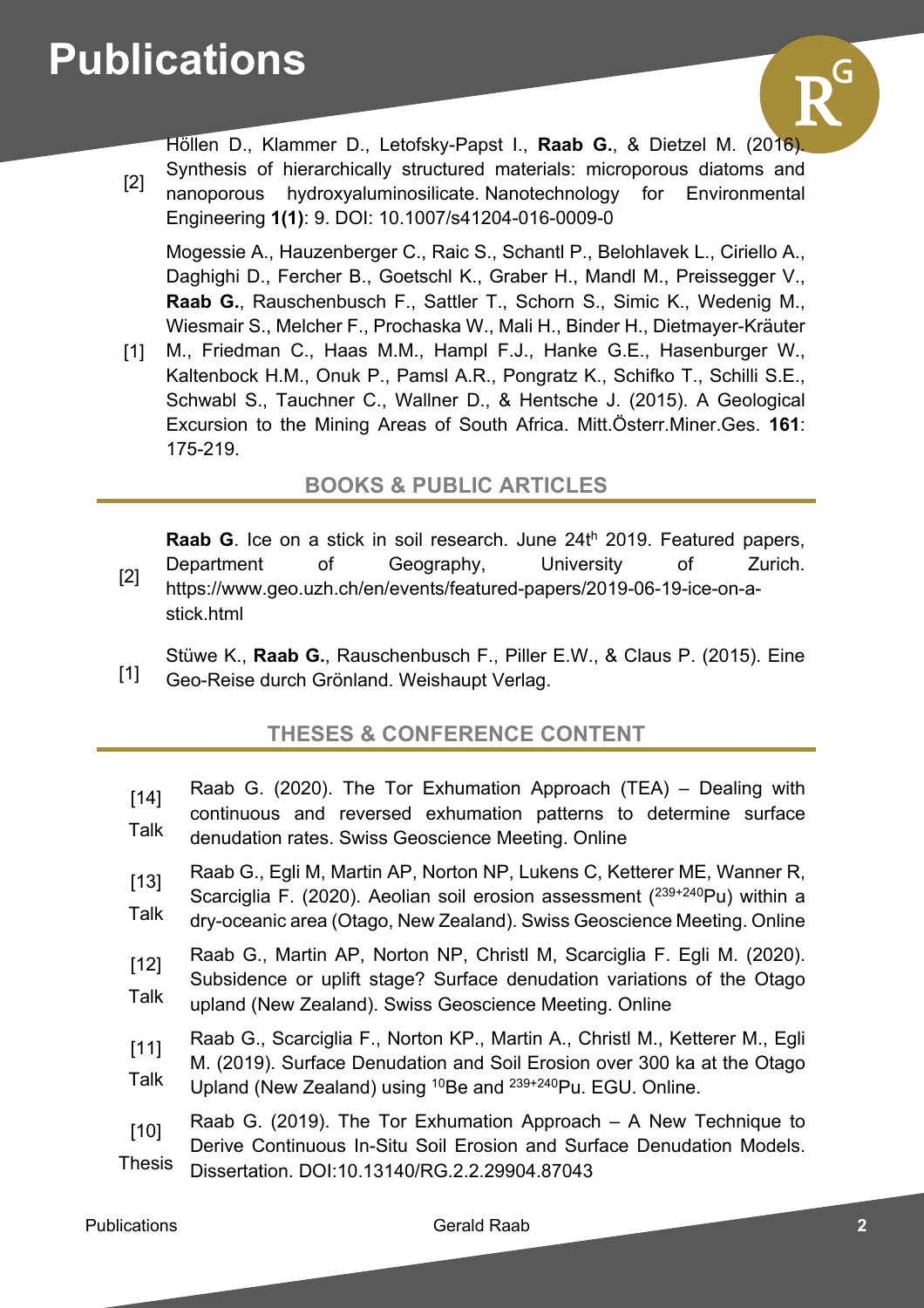## **Publications**



Höllen D., Klammer D., Letofsky-Papst I., **Raab G.**, & Dietzel M. (2016). Synthesis of hierarchically structured materials: microporous diatoms and

[2] nanoporous hydroxyaluminosilicate. Nanotechnology for Environmental Engineering **1(1)**: 9. DOI: 10.1007/s41204-016-0009-0

Mogessie A., Hauzenberger C., Raic S., Schantl P., Belohlavek L., Ciriello A., Daghighi D., Fercher B., Goetschl K., Graber H., Mandl M., Preissegger V., **Raab G.**, Rauschenbusch F., Sattler T., Schorn S., Simic K., Wedenig M., Wiesmair S., Melcher F., Prochaska W., Mali H., Binder H., Dietmayer-Kräuter

 $[1]$ M., Friedman C., Haas M.M., Hampl F.J., Hanke G.E., Hasenburger W., Kaltenbock H.M., Onuk P., Pamsl A.R., Pongratz K., Schifko T., Schilli S.E., Schwabl S., Tauchner C., Wallner D., & Hentsche J. (2015). A Geological Excursion to the Mining Areas of South Africa. Mitt.Österr.Miner.Ges. **161**: 175-219.

### **BOOKS & PUBLIC ARTICLES**

[2] **Raab G.** Ice on a stick in soil research. June 24th 2019. Featured papers, Department of Geography, University of Zurich. https://www.geo.uzh.ch/en/events/featured-papers/2019-06-19-ice-on-astick.html

[1] Stüwe K., **Raab G.**, Rauschenbusch F., Piller E.W., & Claus P. (2015). Eine Geo-Reise durch Grönland. Weishaupt Verlag.

### **THESES & CONFERENCE CONTENT**

- [14] Talk Raab G. (2020). The Tor Exhumation Approach (TEA) – Dealing with continuous and reversed exhumation patterns to determine surface denudation rates. Swiss Geoscience Meeting. Online
- [13] Talk Raab G., Egli M, Martin AP, Norton NP, Lukens C, Ketterer ME, Wanner R, Scarciglia F. (2020). Aeolian soil erosion assessment  $(^{239+240}$ Pu) within a dry-oceanic area (Otago, New Zealand). Swiss Geoscience Meeting. Online
- [12] Talk Raab G., Martin AP, Norton NP, Christl M, Scarciglia F. Egli M. (2020). Subsidence or uplift stage? Surface denudation variations of the Otago upland (New Zealand). Swiss Geoscience Meeting. Online
- [11] Talk Raab G., Scarciglia F., Norton KP., Martin A., Christl M., Ketterer M., Egli M. (2019). Surface Denudation and Soil Erosion over 300 ka at the Otago Upland (New Zealand) using <sup>10</sup>Be and <sup>239+240</sup>Pu. EGU. Online.
- [10] Thesis Raab G. (2019). The Tor Exhumation Approach – A New Technique to Derive Continuous In-Situ Soil Erosion and Surface Denudation Models. Dissertation. DOI:10.13140/RG.2.2.29904.87043

#### Publications Gerald Raab **2**